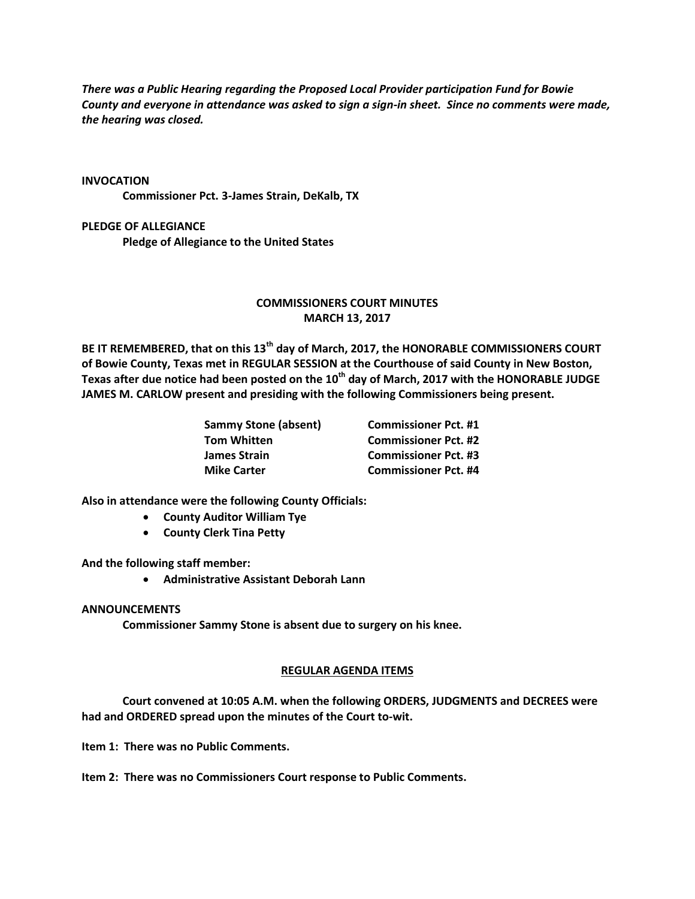*There was a Public Hearing regarding the Proposed Local Provider participation Fund for Bowie County and everyone in attendance was asked to sign a sign-in sheet. Since no comments were made, the hearing was closed.*

#### **INVOCATION**

**Commissioner Pct. 3-James Strain, DeKalb, TX**

# **PLEDGE OF ALLEGIANCE**

**Pledge of Allegiance to the United States**

# **COMMISSIONERS COURT MINUTES MARCH 13, 2017**

**BE IT REMEMBERED, that on this 13th day of March, 2017, the HONORABLE COMMISSIONERS COURT of Bowie County, Texas met in REGULAR SESSION at the Courthouse of said County in New Boston, Texas after due notice had been posted on the 10th day of March, 2017 with the HONORABLE JUDGE JAMES M. CARLOW present and presiding with the following Commissioners being present.**

| <b>Sammy Stone (absent)</b> | <b>Commissioner Pct. #1</b> |
|-----------------------------|-----------------------------|
| Tom Whitten                 | <b>Commissioner Pct. #2</b> |
| James Strain                | <b>Commissioner Pct. #3</b> |
| <b>Mike Carter</b>          | <b>Commissioner Pct. #4</b> |

**Also in attendance were the following County Officials:**

- **County Auditor William Tye**
- **County Clerk Tina Petty**

**And the following staff member:**

**Administrative Assistant Deborah Lann**

#### **ANNOUNCEMENTS**

**Commissioner Sammy Stone is absent due to surgery on his knee.**

### **REGULAR AGENDA ITEMS**

**Court convened at 10:05 A.M. when the following ORDERS, JUDGMENTS and DECREES were had and ORDERED spread upon the minutes of the Court to-wit.**

**Item 1: There was no Public Comments.**

**Item 2: There was no Commissioners Court response to Public Comments.**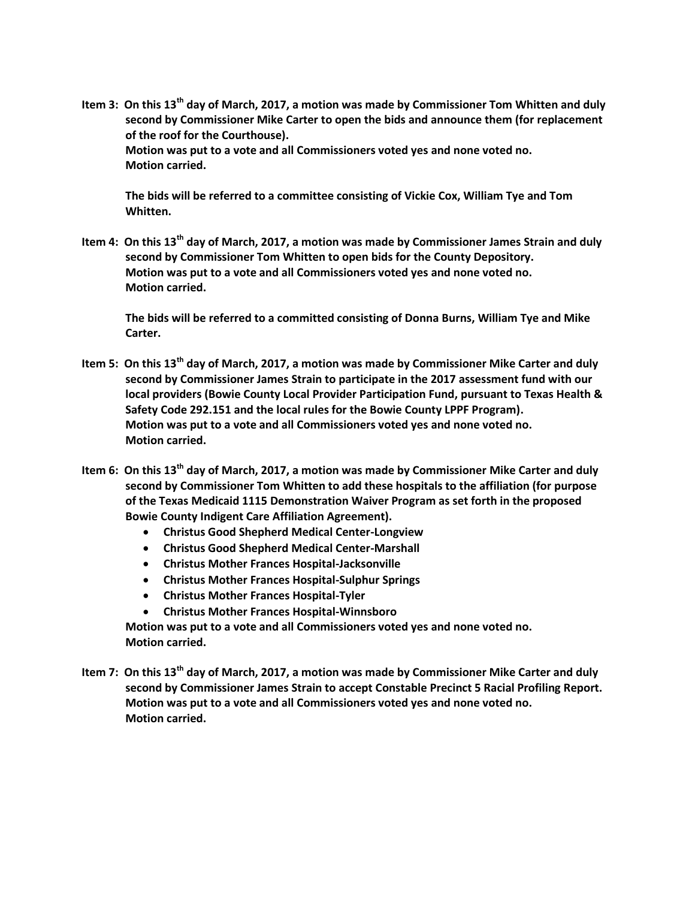**Item 3: On this 13th day of March, 2017, a motion was made by Commissioner Tom Whitten and duly second by Commissioner Mike Carter to open the bids and announce them (for replacement of the roof for the Courthouse). Motion was put to a vote and all Commissioners voted yes and none voted no. Motion carried.**

**The bids will be referred to a committee consisting of Vickie Cox, William Tye and Tom Whitten.**

**Item 4: On this 13th day of March, 2017, a motion was made by Commissioner James Strain and duly second by Commissioner Tom Whitten to open bids for the County Depository. Motion was put to a vote and all Commissioners voted yes and none voted no. Motion carried.**

**The bids will be referred to a committed consisting of Donna Burns, William Tye and Mike Carter.**

- **Item 5: On this 13th day of March, 2017, a motion was made by Commissioner Mike Carter and duly second by Commissioner James Strain to participate in the 2017 assessment fund with our local providers (Bowie County Local Provider Participation Fund, pursuant to Texas Health & Safety Code 292.151 and the local rules for the Bowie County LPPF Program). Motion was put to a vote and all Commissioners voted yes and none voted no. Motion carried.**
- **Item 6: On this 13th day of March, 2017, a motion was made by Commissioner Mike Carter and duly second by Commissioner Tom Whitten to add these hospitals to the affiliation (for purpose of the Texas Medicaid 1115 Demonstration Waiver Program as set forth in the proposed Bowie County Indigent Care Affiliation Agreement).**
	- **Christus Good Shepherd Medical Center-Longview**
	- **Christus Good Shepherd Medical Center-Marshall**
	- **Christus Mother Frances Hospital-Jacksonville**
	- **Christus Mother Frances Hospital-Sulphur Springs**
	- **Christus Mother Frances Hospital-Tyler**
	- **Christus Mother Frances Hospital-Winnsboro**

**Motion was put to a vote and all Commissioners voted yes and none voted no. Motion carried.**

**Item 7: On this 13th day of March, 2017, a motion was made by Commissioner Mike Carter and duly second by Commissioner James Strain to accept Constable Precinct 5 Racial Profiling Report. Motion was put to a vote and all Commissioners voted yes and none voted no. Motion carried.**